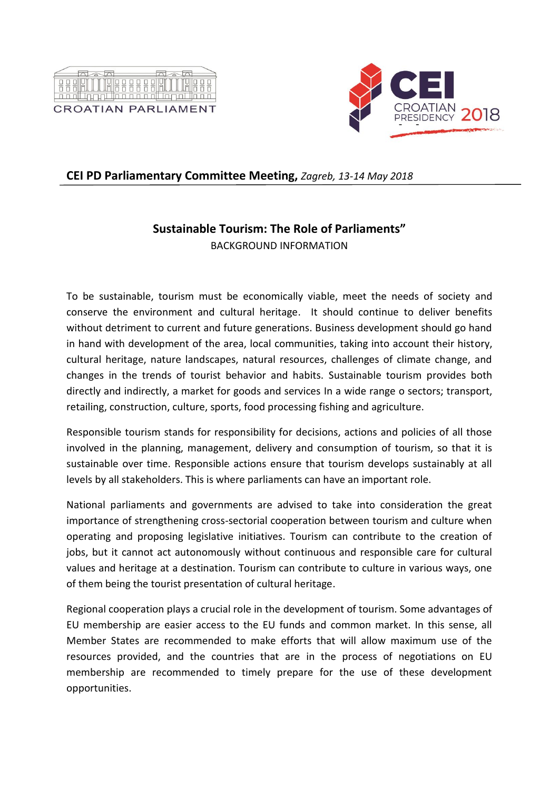



## **CEI PD Parliamentary Committee Meeting,** *Zagreb, 13-14 May 2018*

## **Sustainable Tourism: The Role of Parliaments"**

BACKGROUND INFORMATION

To be sustainable, tourism must be economically viable, meet the needs of society and conserve the environment and cultural heritage. It should continue to deliver benefits without detriment to current and future generations. Business development should go hand in hand with development of the area, local communities, taking into account their history, cultural heritage, nature landscapes, natural resources, challenges of climate change, and changes in the trends of tourist behavior and habits. Sustainable tourism provides both directly and indirectly, a market for goods and services In a wide range o sectors; transport, retailing, construction, culture, sports, food processing fishing and agriculture.

Responsible tourism stands for responsibility for decisions, actions and policies of all those involved in the planning, management, delivery and consumption of tourism, so that it is sustainable over time. Responsible actions ensure that tourism develops sustainably at all levels by all stakeholders. This is where parliaments can have an important role.

National parliaments and governments are advised to take into consideration the great importance of strengthening cross-sectorial cooperation between tourism and culture when operating and proposing legislative initiatives. Tourism can contribute to the creation of jobs, but it cannot act autonomously without continuous and responsible care for cultural values and heritage at a destination. Tourism can contribute to culture in various ways, one of them being the tourist presentation of cultural heritage.

Regional cooperation plays a crucial role in the development of tourism. Some advantages of EU membership are easier access to the EU funds and common market. In this sense, all Member States are recommended to make efforts that will allow maximum use of the resources provided, and the countries that are in the process of negotiations on EU membership are recommended to timely prepare for the use of these development opportunities.